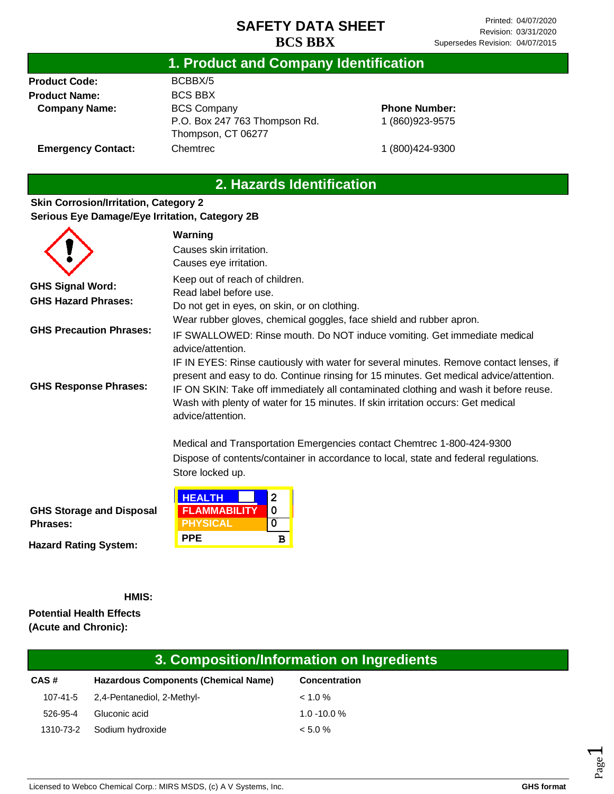### **1. Product and Company Identification**

**Product Code: Product Name: Company Name:** BCBBX/5 BCS BBX BCS Company P.O. Box 247 763 Thompson Rd. Thompson, CT 06277 Chemtrec

### **Phone Number:** 1 (860)923-9575

**Emergency Contact:**

1 (800)424-9300

# **2. Hazards Identification**

### **Skin Corrosion/Irritation, Category 2 Serious Eye Damage/Eye Irritation, Category 2B**

|                                                       | Warning                                                                                                                                                                                                                                                                                                                                                                           |  |
|-------------------------------------------------------|-----------------------------------------------------------------------------------------------------------------------------------------------------------------------------------------------------------------------------------------------------------------------------------------------------------------------------------------------------------------------------------|--|
|                                                       | Causes skin irritation.                                                                                                                                                                                                                                                                                                                                                           |  |
|                                                       | Causes eye irritation.                                                                                                                                                                                                                                                                                                                                                            |  |
| <b>GHS Signal Word:</b><br><b>GHS Hazard Phrases:</b> | Keep out of reach of children.<br>Read label before use.<br>Do not get in eyes, on skin, or on clothing.                                                                                                                                                                                                                                                                          |  |
| <b>GHS Precaution Phrases:</b>                        | Wear rubber gloves, chemical goggles, face shield and rubber apron.<br>IF SWALLOWED: Rinse mouth. Do NOT induce vomiting. Get immediate medical<br>advice/attention.                                                                                                                                                                                                              |  |
| <b>GHS Response Phrases:</b>                          | IF IN EYES: Rinse cautiously with water for several minutes. Remove contact lenses, if<br>present and easy to do. Continue rinsing for 15 minutes. Get medical advice/attention.<br>IF ON SKIN: Take off immediately all contaminated clothing and wash it before reuse.<br>Wash with plenty of water for 15 minutes. If skin irritation occurs: Get medical<br>advice/attention. |  |
|                                                       | Medical and Transportation Emergencies contact Chemtrec 1-800-424-9300<br>Dispose of contents/container in accordance to local, state and federal regulations.<br>Store locked up.                                                                                                                                                                                                |  |
| <b>GHS Storage and Disposal</b><br><b>Phrases:</b>    | <b>HEALTH</b><br>2<br>0<br><b>FLAMMABILITY</b><br><b>PHYSICAL</b><br>0                                                                                                                                                                                                                                                                                                            |  |

**Hazard Rating System:**

**HMIS:**

**Potential Health Effects (Acute and Chronic):**

# **3. Composition/Information on Ingredients**

| CAS# | <b>Hazardous Components (Chemical Name)</b> | Concentration  |
|------|---------------------------------------------|----------------|
|      | 107-41-5 2,4-Pentanediol, 2-Methyl-         | $1.0\%$        |
|      | 526-95-4 Gluconic acid                      | $1.0 - 10.0 %$ |
|      | 1310-73-2 Sodium hydroxide                  | $< 5.0 \%$     |

**PPE B**

Page  $\overline{\phantom{0}}$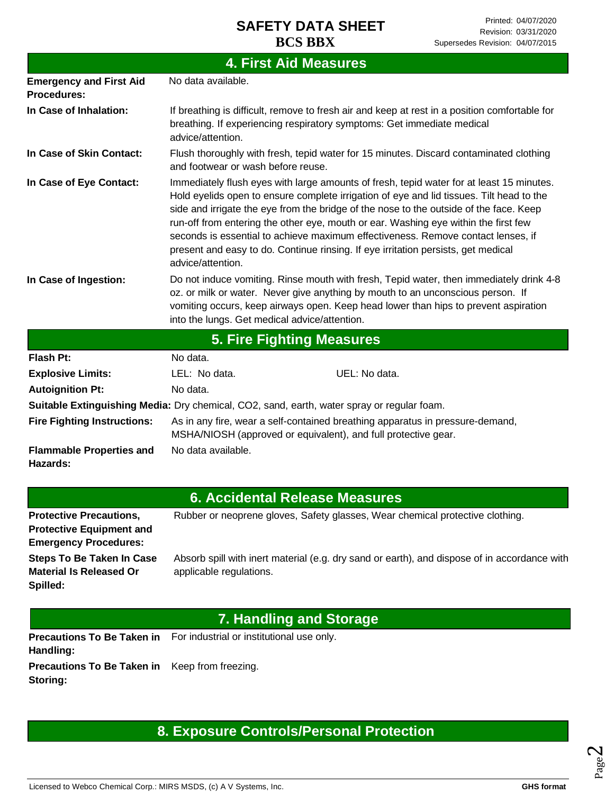|                                                      | <b>4. First Aid Measures</b>                                                                                                                                                                                                                                                                                                                                                                                                                                                                                                                                        |  |  |
|------------------------------------------------------|---------------------------------------------------------------------------------------------------------------------------------------------------------------------------------------------------------------------------------------------------------------------------------------------------------------------------------------------------------------------------------------------------------------------------------------------------------------------------------------------------------------------------------------------------------------------|--|--|
| <b>Emergency and First Aid</b><br><b>Procedures:</b> | No data available.                                                                                                                                                                                                                                                                                                                                                                                                                                                                                                                                                  |  |  |
| In Case of Inhalation:                               | If breathing is difficult, remove to fresh air and keep at rest in a position comfortable for<br>breathing. If experiencing respiratory symptoms: Get immediate medical<br>advice/attention.                                                                                                                                                                                                                                                                                                                                                                        |  |  |
| In Case of Skin Contact:                             | Flush thoroughly with fresh, tepid water for 15 minutes. Discard contaminated clothing<br>and footwear or wash before reuse.                                                                                                                                                                                                                                                                                                                                                                                                                                        |  |  |
| In Case of Eye Contact:                              | Immediately flush eyes with large amounts of fresh, tepid water for at least 15 minutes.<br>Hold eyelids open to ensure complete irrigation of eye and lid tissues. Tilt head to the<br>side and irrigate the eye from the bridge of the nose to the outside of the face. Keep<br>run-off from entering the other eye, mouth or ear. Washing eye within the first few<br>seconds is essential to achieve maximum effectiveness. Remove contact lenses, if<br>present and easy to do. Continue rinsing. If eye irritation persists, get medical<br>advice/attention. |  |  |
| In Case of Ingestion:                                | Do not induce vomiting. Rinse mouth with fresh, Tepid water, then immediately drink 4-8<br>oz. or milk or water. Never give anything by mouth to an unconscious person. If<br>vomiting occurs, keep airways open. Keep head lower than hips to prevent aspiration<br>into the lungs. Get medical advice/attention.                                                                                                                                                                                                                                                  |  |  |
|                                                      | <b>5. Fire Fighting Measures</b>                                                                                                                                                                                                                                                                                                                                                                                                                                                                                                                                    |  |  |
| <b>Flash Pt:</b>                                     | No data.                                                                                                                                                                                                                                                                                                                                                                                                                                                                                                                                                            |  |  |
| <b>Explosive Limits:</b>                             | UEL: No data.<br>LEL: No data.                                                                                                                                                                                                                                                                                                                                                                                                                                                                                                                                      |  |  |
| <b>Autoignition Pt:</b>                              | No data.                                                                                                                                                                                                                                                                                                                                                                                                                                                                                                                                                            |  |  |
|                                                      | Suitable Extinguishing Media: Dry chemical, CO2, sand, earth, water spray or regular foam.                                                                                                                                                                                                                                                                                                                                                                                                                                                                          |  |  |
| <b>Fire Fighting Instructions:</b>                   | As in any fire, wear a self-contained breathing apparatus in pressure-demand,<br>MSHA/NIOSH (approved or equivalent), and full protective gear.                                                                                                                                                                                                                                                                                                                                                                                                                     |  |  |
| <b>Flammable Properties and</b><br><b>Hazards:</b>   | No data available.                                                                                                                                                                                                                                                                                                                                                                                                                                                                                                                                                  |  |  |
|                                                      | 6. Accidental Release Measures                                                                                                                                                                                                                                                                                                                                                                                                                                                                                                                                      |  |  |

### **6. Accidental Release Measures**

| <b>Protective Precautions,</b>   | Rubber or neoprene gloves, Safety glasses, Wear chemical protective clothing.                |
|----------------------------------|----------------------------------------------------------------------------------------------|
| <b>Protective Equipment and</b>  |                                                                                              |
| <b>Emergency Procedures:</b>     |                                                                                              |
| <b>Steps To Be Taken In Case</b> | Absorb spill with inert material (e.g. dry sand or earth), and dispose of in accordance with |
| <b>Material Is Released Or</b>   | applicable regulations.                                                                      |
| Spilled:                         |                                                                                              |

# **7. Handling and Storage**

Precautions To Be Taken in For industrial or institutional use only. **Handling:**

**Precautions To Be Taken in**  Keep from freezing. **Storing:**

# **8. Exposure Controls/Personal Protection**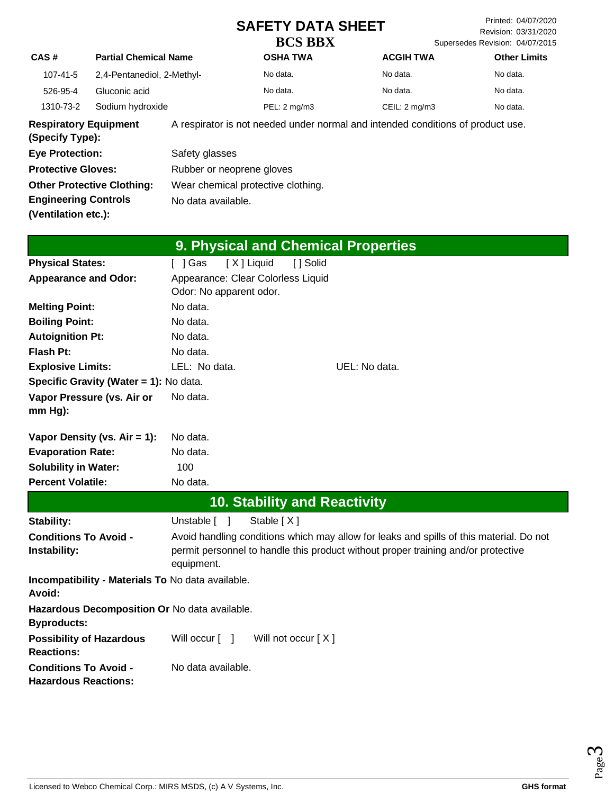Printed: 04/07/2020 Revision: 03/31/2020 Supersedes Revision: 04/07/2015

**CAS # Partial Chemical Name OSHA TWA ACGIH TWA Other Limits** 107-41-5 2,4-Pentanediol, 2-Methyl- No data. No data. No data. 526-95-4 Gluconic acid No data. No data. No data. 1310-73-2 Sodium hydroxide PEL: 2 mg/m3 CEIL: 2 mg/m3 No data. **Respiratory Equipment**  A respirator is not needed under normal and intended conditions of product use.

**(Specify Type): Eye Protection: Protective Gloves: Other Protective Clothing: Engineering Controls (Ventilation etc.):** Safety glasses Rubber or neoprene gloves Wear chemical protective clothing. No data available.

|  | 9. Physical and Chemical Properties |  |
|--|-------------------------------------|--|
|  |                                     |  |

| <b>Physical States:</b>                                     | [X ] Liquid<br>[ ] Gas             | [ ] Solid                           |                                                                                         |
|-------------------------------------------------------------|------------------------------------|-------------------------------------|-----------------------------------------------------------------------------------------|
| <b>Appearance and Odor:</b>                                 | Appearance: Clear Colorless Liquid |                                     |                                                                                         |
|                                                             | Odor: No apparent odor.            |                                     |                                                                                         |
| <b>Melting Point:</b>                                       | No data.                           |                                     |                                                                                         |
| <b>Boiling Point:</b>                                       | No data.                           |                                     |                                                                                         |
| <b>Autoignition Pt:</b>                                     | No data.                           |                                     |                                                                                         |
| <b>Flash Pt:</b>                                            | No data.                           |                                     |                                                                                         |
| <b>Explosive Limits:</b>                                    | LEL: No data.                      |                                     | UEL: No data.                                                                           |
| Specific Gravity (Water = 1): No data.                      |                                    |                                     |                                                                                         |
| Vapor Pressure (vs. Air or                                  | No data.                           |                                     |                                                                                         |
| $mm Hg$ ):                                                  |                                    |                                     |                                                                                         |
|                                                             |                                    |                                     |                                                                                         |
| Vapor Density (vs. $Air = 1$ ):<br><b>Evaporation Rate:</b> | No data.<br>No data.               |                                     |                                                                                         |
|                                                             |                                    |                                     |                                                                                         |
| <b>Solubility in Water:</b>                                 | 100                                |                                     |                                                                                         |
| <b>Percent Volatile:</b>                                    | No data.                           |                                     |                                                                                         |
|                                                             |                                    | <b>10. Stability and Reactivity</b> |                                                                                         |
| Stability:                                                  | Unstable [ ]                       | Stable $[X]$                        |                                                                                         |
| <b>Conditions To Avoid -</b>                                |                                    |                                     | Avoid handling conditions which may allow for leaks and spills of this material. Do not |
| Instability:                                                |                                    |                                     | permit personnel to handle this product without proper training and/or protective       |
|                                                             | equipment.                         |                                     |                                                                                         |
| Incompatibility - Materials To No data available.           |                                    |                                     |                                                                                         |
| Avoid:                                                      |                                    |                                     |                                                                                         |
| Hazardous Decomposition Or No data available.               |                                    |                                     |                                                                                         |
| <b>Byproducts:</b>                                          |                                    |                                     |                                                                                         |
| <b>Possibility of Hazardous</b>                             | Will occur [ ]                     | Will not occur $[X]$                |                                                                                         |
| <b>Reactions:</b>                                           |                                    |                                     |                                                                                         |
| <b>Conditions To Avoid -</b><br><b>Hazardous Reactions:</b> | No data available.                 |                                     |                                                                                         |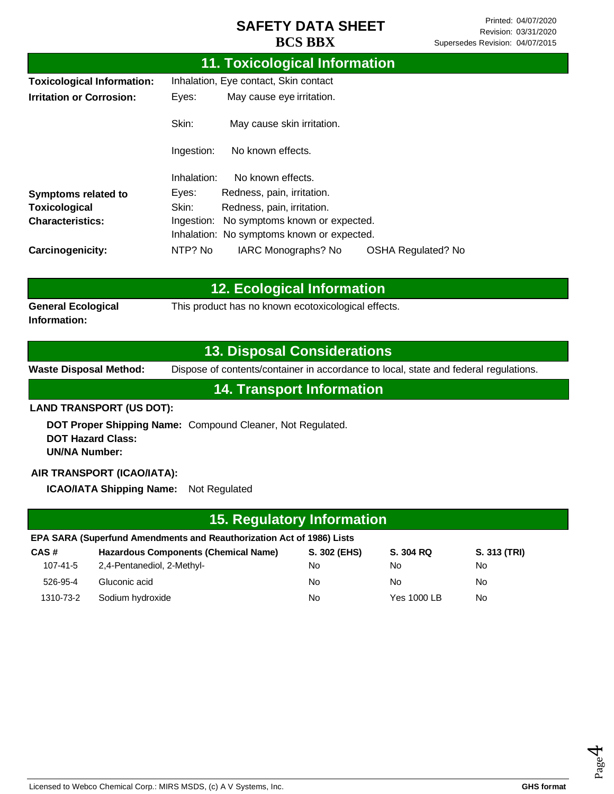|                                   |             | 11. Toxicological Information              |                           |
|-----------------------------------|-------------|--------------------------------------------|---------------------------|
| <b>Toxicological Information:</b> |             | Inhalation, Eye contact, Skin contact      |                           |
| <b>Irritation or Corrosion:</b>   | Eyes:       | May cause eye irritation.                  |                           |
|                                   | Skin:       | May cause skin irritation.                 |                           |
|                                   | Ingestion:  | No known effects.                          |                           |
|                                   | Inhalation: | No known effects.                          |                           |
| Symptoms related to               | Eyes:       | Redness, pain, irritation.                 |                           |
| Toxicological                     | Skin:       | Redness, pain, irritation.                 |                           |
| <b>Characteristics:</b>           | Ingestion:  | No symptoms known or expected.             |                           |
|                                   |             | Inhalation: No symptoms known or expected. |                           |
| Carcinogenicity:                  | NTP? No     | IARC Monographs? No                        | <b>OSHA Regulated? No</b> |

|                                           | <b>12. Ecological Information</b>                   |  |
|-------------------------------------------|-----------------------------------------------------|--|
| <b>General Ecological</b><br>Information: | This product has no known ecotoxicological effects. |  |

### **13. Disposal Considerations**

**Waste Disposal Method:** Dispose of contents/container in accordance to local, state and federal regulations.

**14. Transport Information**

#### **LAND TRANSPORT (US DOT):**

**DOT Proper Shipping Name:**  Compound Cleaner, Not Regulated. **DOT Hazard Class: UN/NA Number:**

### **AIR TRANSPORT (ICAO/IATA):**

**ICAO/IATA Shipping Name:** Not Regulated

|           | 15. Regulatory Information                                            |              |             |              |  |
|-----------|-----------------------------------------------------------------------|--------------|-------------|--------------|--|
|           | EPA SARA (Superfund Amendments and Reauthorization Act of 1986) Lists |              |             |              |  |
| CAS#      | Hazardous Components (Chemical Name)                                  | S. 302 (EHS) | S. 304 RQ   | S. 313 (TRI) |  |
| 107-41-5  | 2,4-Pentanediol, 2-Methyl-                                            | No           | No          | No.          |  |
| 526-95-4  | Gluconic acid                                                         | No           | No          | <b>No</b>    |  |
| 1310-73-2 | Sodium hydroxide                                                      | <b>No</b>    | Yes 1000 LB | No           |  |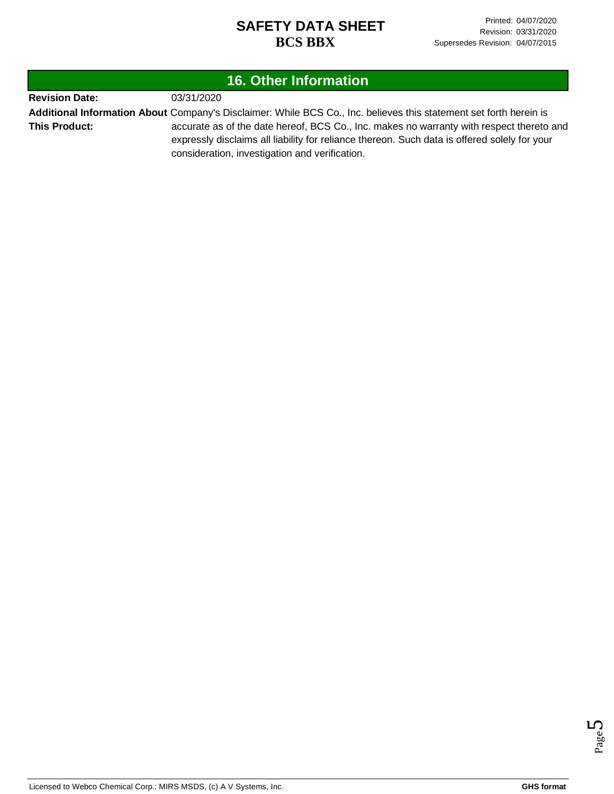| <b>16. Other Information</b> |                                                                                                                                                                                                                                                                                                                                                                  |  |
|------------------------------|------------------------------------------------------------------------------------------------------------------------------------------------------------------------------------------------------------------------------------------------------------------------------------------------------------------------------------------------------------------|--|
| <b>Revision Date:</b>        | 03/31/2020                                                                                                                                                                                                                                                                                                                                                       |  |
| <b>This Product:</b>         | Additional Information About Company's Disclaimer: While BCS Co., Inc. believes this statement set forth herein is<br>accurate as of the date hereof, BCS Co., Inc. makes no warranty with respect thereto and<br>expressly disclaims all liability for reliance thereon. Such data is offered solely for your<br>consideration, investigation and verification. |  |